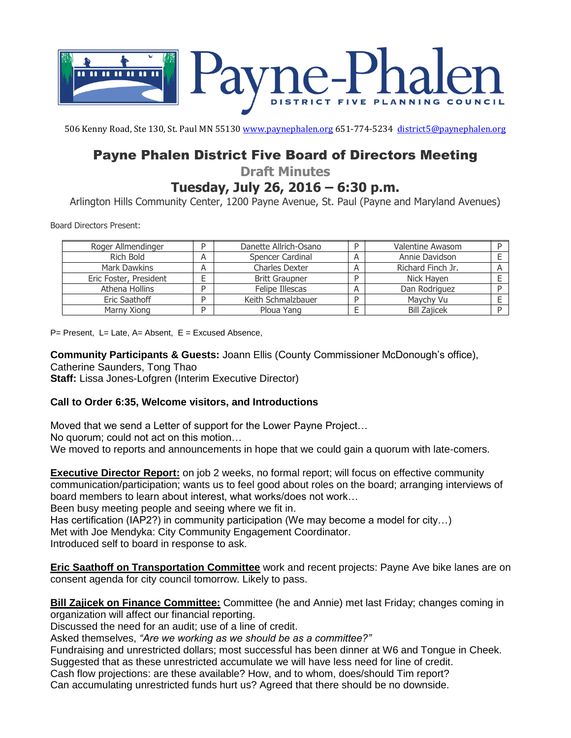

506 Kenny Road, Ste 130, St. Paul MN 5513[0 www.paynephalen.org](http://www.paynephalen.org/) 651-774-5234 [district5@paynephalen.org](mailto:district5@paynephalen.org)

## Payne Phalen District Five Board of Directors Meeting

**Draft Minutes**

**Tuesday, July 26, 2016 – 6:30 p.m.**

Arlington Hills Community Center, 1200 Payne Avenue, St. Paul (Payne and Maryland Avenues)

Board Directors Present:

| Roger Allmendinger     |   | Danette Allrich-Osano |   | <b>Valentine Awasom</b> |  |
|------------------------|---|-----------------------|---|-------------------------|--|
| Rich Bold              | A | Spencer Cardinal      | А | Annie Davidson          |  |
| Mark Dawkins           | A | <b>Charles Dexter</b> | А | Richard Finch Jr.       |  |
| Eric Foster, President |   | <b>Britt Graupner</b> |   | Nick Hayen              |  |
| Athena Hollins         |   | Felipe Illescas       | A | Dan Rodriguez           |  |
| Eric Saathoff          |   | Keith Schmalzbauer    |   | Maychy Vu               |  |
| Marny Xiong            | D | Ploua Yang            |   | <b>Bill Zajicek</b>     |  |

 $P=$  Present, L= Late, A= Absent, E = Excused Absence,

**Community Participants & Guests:** Joann Ellis (County Commissioner McDonough's office), Catherine Saunders, Tong Thao **Staff:** Lissa Jones-Lofgren (Interim Executive Director)

## **Call to Order 6:35, Welcome visitors, and Introductions**

Moved that we send a Letter of support for the Lower Payne Project…

No quorum; could not act on this motion…

We moved to reports and announcements in hope that we could gain a quorum with late-comers.

**Executive Director Report:** on job 2 weeks, no formal report; will focus on effective community communication/participation; wants us to feel good about roles on the board; arranging interviews of board members to learn about interest, what works/does not work…

Been busy meeting people and seeing where we fit in.

Has certification (IAP2?) in community participation (We may become a model for city...)

Met with Joe Mendyka: City Community Engagement Coordinator.

Introduced self to board in response to ask.

**Eric Saathoff on Transportation Committee** work and recent projects: Payne Ave bike lanes are on consent agenda for city council tomorrow. Likely to pass.

**Bill Zajicek on Finance Committee:** Committee (he and Annie) met last Friday; changes coming in organization will affect our financial reporting.

Discussed the need for an audit; use of a line of credit.

Asked themselves, *"Are we working as we should be as a committee?"*

Fundraising and unrestricted dollars; most successful has been dinner at W6 and Tongue in Cheek.

Suggested that as these unrestricted accumulate we will have less need for line of credit.

Cash flow projections: are these available? How, and to whom, does/should Tim report?

Can accumulating unrestricted funds hurt us? Agreed that there should be no downside.